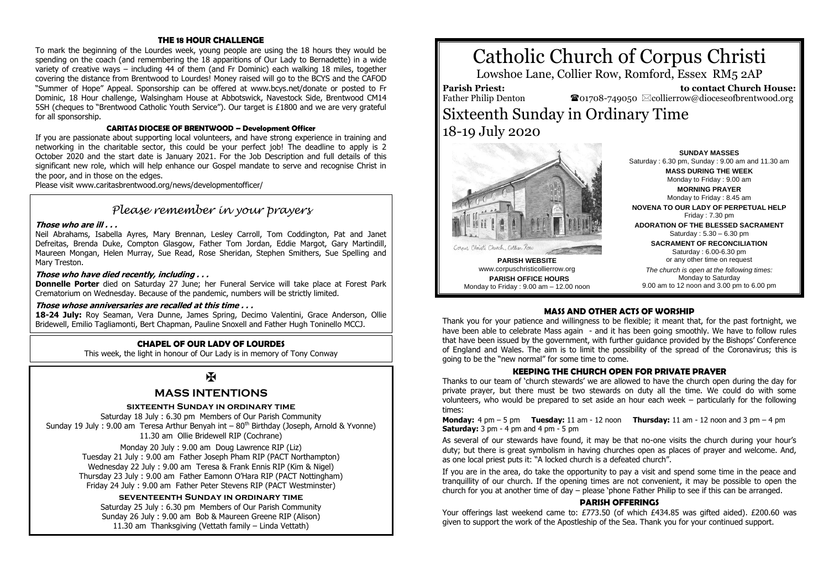### **THE 18 HOUR CHALLENGE**

To mark the beginning of the Lourdes week, young people are using the 18 hours they would be spending on the coach (and remembering the 18 apparitions of Our Lady to Bernadette) in a wide variety of creative ways – including 44 of them (and Fr Dominic) each walking 18 miles, together covering the distance from Brentwood to Lourdes! Money raised will go to the BCYS and the CAFOD "Summer of Hope" Appeal. Sponsorship can be offered at www.bcys.net/donate or posted to Fr Dominic, 18 Hour challenge, Walsingham House at Abbotswick, Navestock Side, Brentwood CM14 5SH (cheques to "Brentwood Catholic Youth Service"). Our target is £1800 and we are very grateful for all sponsorship.

### **CARITAS DIOCESE OF BRENTWOOD – Development Officer**

If you are passionate about supporting local volunteers, and have strong experience in training and networking in the charitable sector, this could be your perfect job! The deadline to apply is 2 October 2020 and the start date is January 2021. For the Job Description and full details of this significant new role, which will help enhance our Gospel mandate to serve and recognise Christ in the poor, and in those on the edges.

Please visit www.caritasbrentwood.org/news/developmentofficer/

### *Please remember in your prayers*

### **Those who are ill . . .**

Neil Abrahams, Isabella Ayres, Mary Brennan, Lesley Carroll, Tom Coddington, Pat and Janet Defreitas, Brenda Duke, Compton Glasgow, Father Tom Jordan, Eddie Margot, Gary Martindill, Maureen Mongan, Helen Murray, Sue Read, Rose Sheridan, Stephen Smithers, Sue Spelling and Mary Treston.

### **Those who have died recently, including . . .**

**Donnelle Porter** died on Saturday 27 June; her Funeral Service will take place at Forest Park Crematorium on Wednesday. Because of the pandemic, numbers will be strictly limited.

### **Those whose anniversaries are recalled at this time . . .**

**18-24 July:** Roy Seaman, Vera Dunne, James Spring, Decimo Valentini, Grace Anderson, Ollie Bridewell, Emilio Tagliamonti, Bert Chapman, Pauline Snoxell and Father Hugh Toninello MCCJ.

### **CHAPEL OF OUR LADY OF LOURDES**

This week, the light in honour of Our Lady is in memory of Tony Conway

## $\mathbf{H}$

### **MASS INTENTIONS**

### **sixteenth Sunday in ordinary time**

Saturday 18 July : 6.30 pm Members of Our Parish Community Sunday 19 July : 9.00 am Teresa Arthur Benyah int  $-80<sup>th</sup>$  Birthday (Joseph, Arnold & Yvonne) 11.30 am Ollie Bridewell RIP (Cochrane)

Monday 20 July : 9.00 am Doug Lawrence RIP (Liz) Tuesday 21 July : 9.00 am Father Joseph Pham RIP (PACT Northampton) Wednesday 22 July : 9.00 am Teresa & Frank Ennis RIP (Kim & Nigel) Thursday 23 July : 9.00 am Father Eamonn O'Hara RIP (PACT Nottingham) Friday 24 July : 9.00 am Father Peter Stevens RIP (PACT Westminster)

### **seventeenth Sunday in ordinary time**

Saturday 25 July : 6.30 pm Members of Our Parish Community Sunday 26 July : 9.00 am Bob & Maureen Greene RIP (Alison) 11.30 am Thanksgiving (Vettath family – Linda Vettath)

# Catholic Church of Corpus Christi

Lowshoe Lane, Collier Row, Romford, Essex RM5 2AP

**Parish Priest:** Father Philip Denton

 **to contact Church House:**  $\bullet$ 01708-749050  $\boxtimes$ collierrow@dioceseofbrentwood.org

## Sixteenth Sunday in Ordinary Time 18-19 July 2020



**PARISH WEBSITE** www.corpuschristicollierrow.org **PARISH OFFICE HOURS** Monday to Friday : 9.00 am – 12.00 noon

**SUNDAY MASSES** Saturday : 6.30 pm, Sunday : 9.00 am and 11.30 am **MASS DURING THE WEEK** Monday to Friday : 9.00 am **MORNING PRAYER** Monday to Friday : 8.45 am **NOVENA TO OUR LADY OF PERPETUAL HELP** Friday : 7.30 pm

**ADORATION OF THE BLESSED SACRAMENT** Saturday : 5.30 – 6.30 pm

> **SACRAMENT OF RECONCILIATION** Saturday : 6.00-6.30 pm or any other time on request

*The church is open at the following times:* Monday to Saturday 9.00 am to 12 noon and 3.00 pm to 6.00 pm

### **MASS AND OTHER ACTS OF WORSHIP**

Thank you for your patience and willingness to be flexible; it meant that, for the past fortnight, we have been able to celebrate Mass again - and it has been going smoothly. We have to follow rules that have been issued by the government, with further guidance provided by the Bishops' Conference of England and Wales. The aim is to limit the possibility of the spread of the Coronavirus; this is going to be the "new normal" for some time to come.

### **KEEPING THE CHURCH OPEN FOR PRIVATE PRAYER**

Thanks to our team of 'church stewards' we are allowed to have the church open during the day for private prayer, but there must be two stewards on duty all the time. We could do with some volunteers, who would be prepared to set aside an hour each week – particularly for the following times:

**Monday:** 4 pm – 5 pm **Tuesday:** 11 am - 12 noon **Thursday:** 11 am - 12 noon and 3 pm – 4 pm **Saturday:** 3 pm - 4 pm and 4 pm - 5 pm

As several of our stewards have found, it may be that no-one visits the church during your hour's duty; but there is great symbolism in having churches open as places of prayer and welcome. And, as one local priest puts it: "A locked church is a defeated church".

If you are in the area, do take the opportunity to pay a visit and spend some time in the peace and tranquillity of our church. If the opening times are not convenient, it may be possible to open the church for you at another time of day – please 'phone Father Philip to see if this can be arranged.

#### **PARISH OFFERINGS**

Your offerings last weekend came to: £773.50 (of which £434.85 was gifted aided). £200.60 was given to support the work of the Apostleship of the Sea. Thank you for your continued support.